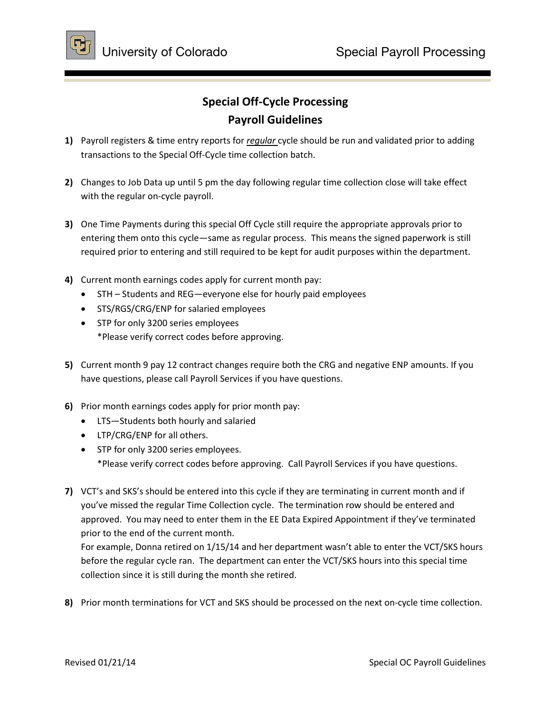

## **Special Off-Cycle Processing Payroll Guidelines**

- **1)** Payroll registers & time entry reports for *regular* cycle should be run and validated prior to adding transactions to the Special Off-Cycle time collection batch.
- **2)** Changes to Job Data up until 5 pm the day following regular time collection close will take effect with the regular on-cycle payroll.
- **3)** One Time Payments during this special Off Cycle still require the appropriate approvals prior to entering them onto this cycle—same as regular process. This means the signed paperwork is still required prior to entering and still required to be kept for audit purposes within the department.
- **4)** Current month earnings codes apply for current month pay:
	- STH Students and REG—everyone else for hourly paid employees
	- STS/RGS/CRG/ENP for salaried employees
	- STP for only 3200 series employees \*Please verify correct codes before approving.
- **5)** Current month 9 pay 12 contract changes require both the CRG and negative ENP amounts. If you have questions, please call Payroll Services if you have questions.
- **6)** Prior month earnings codes apply for prior month pay:
	- LTS—Students both hourly and salaried
	- LTP/CRG/ENP for all others.
	- STP for only 3200 series employees. \*Please verify correct codes before approving. Call Payroll Services if you have questions.
- **7)** VCT's and SKS's should be entered into this cycle if they are terminating in current month and if you've missed the regular Time Collection cycle. The termination row should be entered and approved. You may need to enter them in the EE Data Expired Appointment if they've terminated prior to the end of the current month.

For example, Donna retired on 1/15/14 and her department wasn't able to enter the VCT/SKS hours before the regular cycle ran. The department can enter the VCT/SKS hours into this special time collection since it is still during the month she retired.

**8)** Prior month terminations for VCT and SKS should be processed on the next on-cycle time collection.